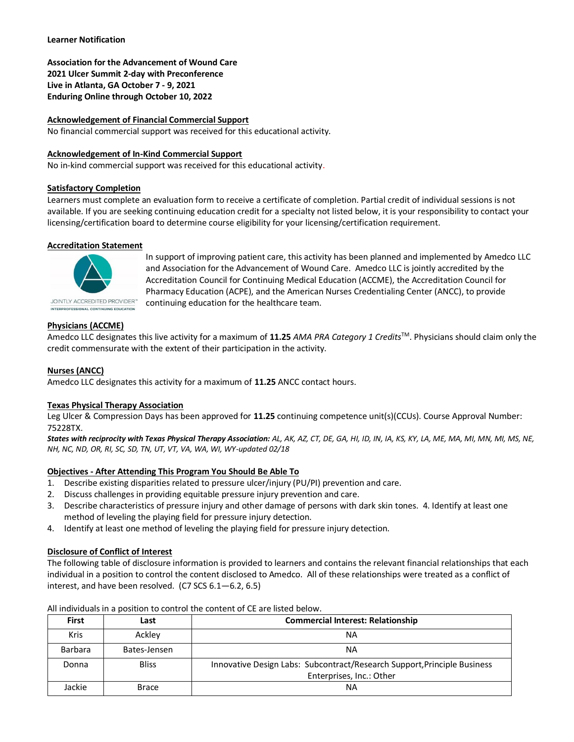# **Learner Notification**

**Association for the Advancement of Wound Care 2021 Ulcer Summit 2-day with Preconference Live in Atlanta, GA October 7 - 9, 2021 Enduring Online through October 10, 2022**

# **Acknowledgement of Financial Commercial Support**

No financial commercial support was received for this educational activity.

# **Acknowledgement of In-Kind Commercial Support**

No in-kind commercial support was received for this educational activity.

# **Satisfactory Completion**

Learners must complete an evaluation form to receive a certificate of completion. Partial credit of individual sessions is not available. If you are seeking continuing education credit for a specialty not listed below, it is your responsibility to contact your licensing/certification board to determine course eligibility for your licensing/certification requirement.

# **Accreditation Statement**



In support of improving patient care, this activity has been planned and implemented by Amedco LLC and Association for the Advancement of Wound Care. Amedco LLC is jointly accredited by the Accreditation Council for Continuing Medical Education (ACCME), the Accreditation Council for Pharmacy Education (ACPE), and the American Nurses Credentialing Center (ANCC), to provide continuing education for the healthcare team.

# **Physicians (ACCME)**

Amedco LLC designates this live activity for a maximum of **11.25** *AMA PRA Category 1 Credits*TM. Physicians should claim only the credit commensurate with the extent of their participation in the activity.

# **Nurses (ANCC)**

Amedco LLC designates this activity for a maximum of **11.25** ANCC contact hours.

#### **Texas Physical Therapy Association**

Leg Ulcer & Compression Days has been approved for **11.25** continuing competence unit(s)(CCUs). Course Approval Number: 75228TX.

*States with reciprocity with Texas Physical Therapy Association: AL, AK, AZ, CT, DE, GA, HI, ID, IN, IA, KS, KY, LA, ME, MA, MI, MN, MI, MS, NE, NH, NC, ND, OR, RI, SC, SD, TN, UT, VT, VA, WA, WI, WY-updated 02/18*

# **Objectives - After Attending This Program You Should Be Able To**

- 1. Describe existing disparities related to pressure ulcer/injury (PU/PI) prevention and care.
- 2. Discuss challenges in providing equitable pressure injury prevention and care.
- 3. Describe characteristics of pressure injury and other damage of persons with dark skin tones. 4. Identify at least one method of leveling the playing field for pressure injury detection.
- 4. Identify at least one method of leveling the playing field for pressure injury detection.

# **Disclosure of Conflict of Interest**

The following table of disclosure information is provided to learners and contains the relevant financial relationships that each individual in a position to control the content disclosed to Amedco. All of these relationships were treated as a conflict of interest, and have been resolved. (C7 SCS 6.1—6.2, 6.5)

| <b>First</b> | Last         | <b>Commercial Interest: Relationship</b>                                 |
|--------------|--------------|--------------------------------------------------------------------------|
| <b>Kris</b>  | Ackley       | ΝA                                                                       |
| Barbara      | Bates-Jensen | ΝA                                                                       |
| Donna        | <b>Bliss</b> | Innovative Design Labs: Subcontract/Research Support, Principle Business |
|              |              | Enterprises, Inc.: Other                                                 |
| Jackie       | <b>Brace</b> | ΝA                                                                       |

All individuals in a position to control the content of CE are listed below.